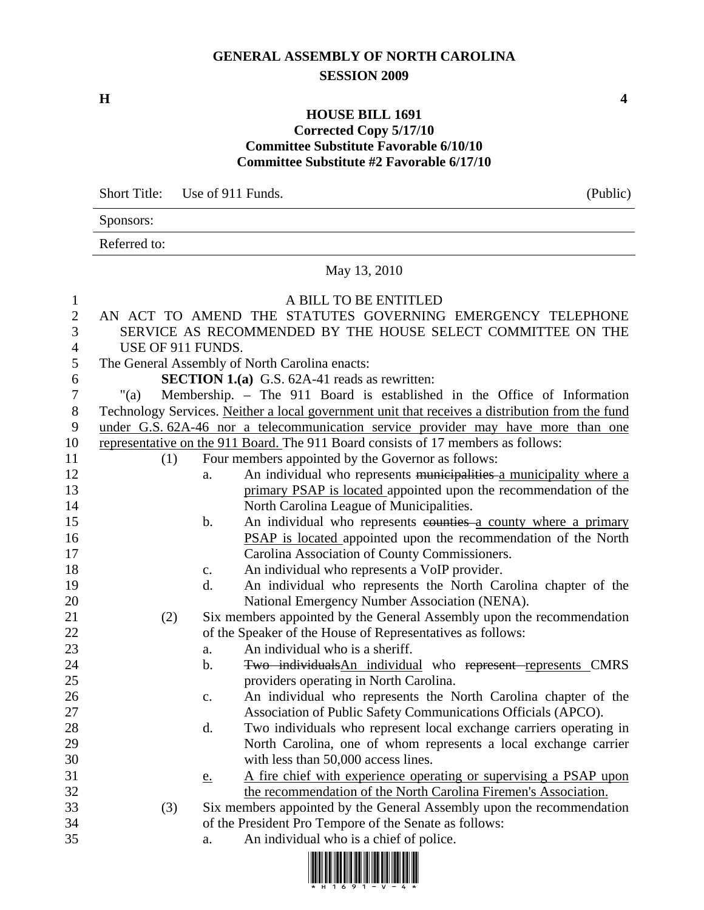## **GENERAL ASSEMBLY OF NORTH CAROLINA SESSION 2009**

## **HOUSE BILL 1691 Corrected Copy 5/17/10 Committee Substitute Favorable 6/10/10 Committee Substitute #2 Favorable 6/17/10**

Short Title: Use of 911 Funds. (Public)

Sponsors:

Referred to:

## May 13, 2010

## 1 A BILL TO BE ENTITLED

| $\sqrt{2}$     |                                                             |                | AN ACT TO AMEND THE STATUTES GOVERNING EMERGENCY TELEPHONE                                      |
|----------------|-------------------------------------------------------------|----------------|-------------------------------------------------------------------------------------------------|
| 3              | SERVICE AS RECOMMENDED BY THE HOUSE SELECT COMMITTEE ON THE |                |                                                                                                 |
| $\overline{4}$ | USE OF 911 FUNDS.                                           |                |                                                                                                 |
| 5              |                                                             |                | The General Assembly of North Carolina enacts:                                                  |
| 6              |                                                             |                | <b>SECTION 1.(a)</b> G.S. 62A-41 reads as rewritten:                                            |
| $\overline{7}$ | " $(a)$                                                     |                | Membership. - The 911 Board is established in the Office of Information                         |
| $8\,$          |                                                             |                | Technology Services. Neither a local government unit that receives a distribution from the fund |
| 9              |                                                             |                | under G.S. 62A-46 nor a telecommunication service provider may have more than one               |
| 10             |                                                             |                | representative on the 911 Board. The 911 Board consists of 17 members as follows:               |
| 11             | (1)                                                         |                | Four members appointed by the Governor as follows:                                              |
| 12             |                                                             | a.             | An individual who represents municipalities a municipality where a                              |
| 13             |                                                             |                | primary PSAP is located appointed upon the recommendation of the                                |
| 14             |                                                             |                | North Carolina League of Municipalities.                                                        |
| 15             |                                                             | b.             | An individual who represents counties a county where a primary                                  |
| 16             |                                                             |                | PSAP is located appointed upon the recommendation of the North                                  |
| 17             |                                                             |                | Carolina Association of County Commissioners.                                                   |
| 18             |                                                             | c.             | An individual who represents a VoIP provider.                                                   |
| 19             |                                                             | d.             | An individual who represents the North Carolina chapter of the                                  |
| 20             |                                                             |                | National Emergency Number Association (NENA).                                                   |
| 21             | (2)                                                         |                | Six members appointed by the General Assembly upon the recommendation                           |
| 22             |                                                             |                | of the Speaker of the House of Representatives as follows:                                      |
| 23             |                                                             | a.             | An individual who is a sheriff.                                                                 |
| 24             |                                                             | $\mathbf b$ .  | Two individualsAn individual who represent represents CMRS                                      |
| 25             |                                                             |                | providers operating in North Carolina.                                                          |
| 26             |                                                             | $\mathbf{c}$ . | An individual who represents the North Carolina chapter of the                                  |
| 27             |                                                             |                | Association of Public Safety Communications Officials (APCO).                                   |
| 28             |                                                             | d.             | Two individuals who represent local exchange carriers operating in                              |
| 29             |                                                             |                | North Carolina, one of whom represents a local exchange carrier                                 |
| 30             |                                                             |                | with less than 50,000 access lines.                                                             |
| 31             |                                                             | <u>e.</u>      | A fire chief with experience operating or supervising a PSAP upon                               |
| 32             |                                                             |                | the recommendation of the North Carolina Firemen's Association.                                 |
| 33             | (3)                                                         |                | Six members appointed by the General Assembly upon the recommendation                           |
| 34             |                                                             |                | of the President Pro Tempore of the Senate as follows:                                          |
| 35             |                                                             | a.             | An individual who is a chief of police.                                                         |
|                |                                                             |                |                                                                                                 |

ki milin dan kana dan dina dina dina dina din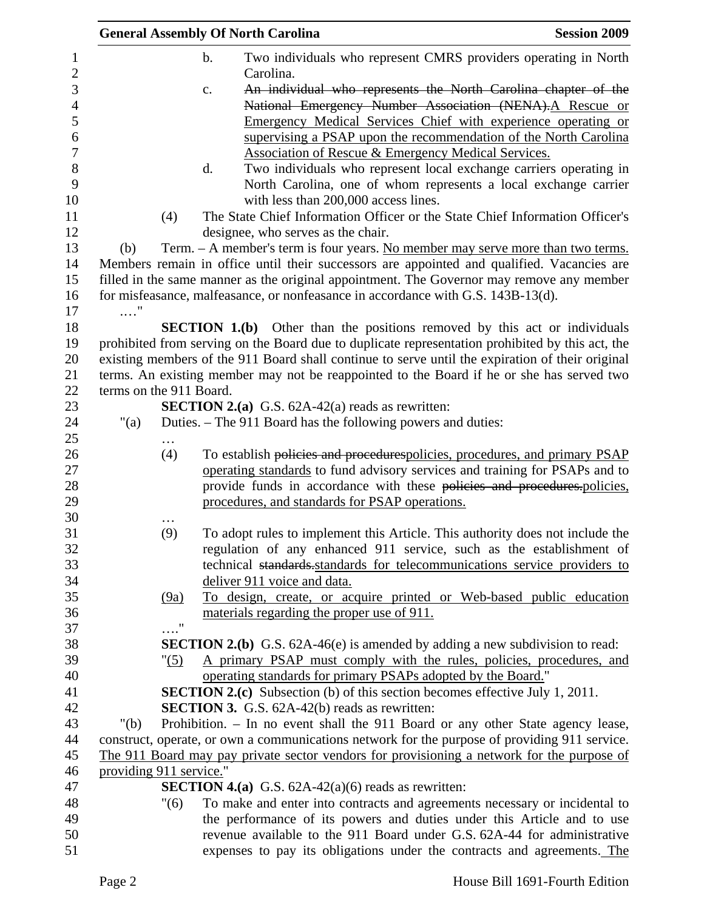|                         |               | <b>General Assembly Of North Carolina</b>                                           | <b>Session 2009</b>                                                                                                                                                                           |
|-------------------------|---------------|-------------------------------------------------------------------------------------|-----------------------------------------------------------------------------------------------------------------------------------------------------------------------------------------------|
|                         | $\mathbf b$ . |                                                                                     | Two individuals who represent CMRS providers operating in North                                                                                                                               |
| $\sqrt{2}$              |               | Carolina.                                                                           |                                                                                                                                                                                               |
| 3                       | c.            |                                                                                     | An individual who represents the North Carolina chapter of the                                                                                                                                |
| $\overline{4}$          |               |                                                                                     | National Emergency Number Association (NENA). A Rescue or                                                                                                                                     |
| 5                       |               |                                                                                     | Emergency Medical Services Chief with experience operating or                                                                                                                                 |
| 6                       |               |                                                                                     | supervising a PSAP upon the recommendation of the North Carolina                                                                                                                              |
| 7                       |               | Association of Rescue & Emergency Medical Services.                                 |                                                                                                                                                                                               |
| 8                       | d.            |                                                                                     | Two individuals who represent local exchange carriers operating in                                                                                                                            |
| 9                       |               |                                                                                     | North Carolina, one of whom represents a local exchange carrier                                                                                                                               |
| 10                      |               | with less than 200,000 access lines.                                                |                                                                                                                                                                                               |
| 11<br>(4)<br>12         |               |                                                                                     | The State Chief Information Officer or the State Chief Information Officer's                                                                                                                  |
|                         |               | designee, who serves as the chair.                                                  |                                                                                                                                                                                               |
| (b)                     |               |                                                                                     | Term. - A member's term is four years. No member may serve more than two terms.                                                                                                               |
|                         |               |                                                                                     | Members remain in office until their successors are appointed and qualified. Vacancies are                                                                                                    |
|                         |               |                                                                                     | filled in the same manner as the original appointment. The Governor may remove any member                                                                                                     |
| 16                      |               | for misfeasance, malfeasance, or nonfeasance in accordance with G.S. 143B-13(d).    |                                                                                                                                                                                               |
| $\ldots$ "              |               |                                                                                     |                                                                                                                                                                                               |
|                         |               |                                                                                     | <b>SECTION 1.(b)</b> Other than the positions removed by this act or individuals                                                                                                              |
|                         |               |                                                                                     | prohibited from serving on the Board due to duplicate representation prohibited by this act, the                                                                                              |
|                         |               |                                                                                     | existing members of the 911 Board shall continue to serve until the expiration of their original<br>terms. An existing member may not be reappointed to the Board if he or she has served two |
| terms on the 911 Board. |               |                                                                                     |                                                                                                                                                                                               |
|                         |               | <b>SECTION 2.(a)</b> G.S. $62A-42(a)$ reads as rewritten:                           |                                                                                                                                                                                               |
| " $(a)$                 |               | Duties. – The 911 Board has the following powers and duties:                        |                                                                                                                                                                                               |
|                         |               |                                                                                     |                                                                                                                                                                                               |
| (4)                     |               |                                                                                     | To establish policies and procedurespolicies, procedures, and primary PSAP                                                                                                                    |
|                         |               |                                                                                     | operating standards to fund advisory services and training for PSAPs and to                                                                                                                   |
|                         |               |                                                                                     | provide funds in accordance with these policies and procedures.policies,                                                                                                                      |
|                         |               | procedures, and standards for PSAP operations.                                      |                                                                                                                                                                                               |
|                         |               |                                                                                     |                                                                                                                                                                                               |
| (9)                     |               |                                                                                     | To adopt rules to implement this Article. This authority does not include the                                                                                                                 |
|                         |               |                                                                                     | regulation of any enhanced 911 service, such as the establishment of                                                                                                                          |
|                         |               |                                                                                     | technical standards standards for telecommunications service providers to                                                                                                                     |
|                         |               | deliver 911 voice and data.                                                         |                                                                                                                                                                                               |
| (9a)                    |               |                                                                                     | To design, create, or acquire printed or Web-based public education                                                                                                                           |
|                         |               | materials regarding the proper use of 911.                                          |                                                                                                                                                                                               |
|                         | $\ldots$ "    |                                                                                     |                                                                                                                                                                                               |
|                         |               |                                                                                     | <b>SECTION 2.(b)</b> G.S. 62A-46(e) is amended by adding a new subdivision to read:                                                                                                           |
|                         | "(5)          |                                                                                     | A primary PSAP must comply with the rules, policies, procedures, and                                                                                                                          |
|                         |               | operating standards for primary PSAPs adopted by the Board."                        |                                                                                                                                                                                               |
|                         |               | <b>SECTION 2.(c)</b> Subsection (b) of this section becomes effective July 1, 2011. |                                                                                                                                                                                               |
|                         |               | <b>SECTION 3.</b> G.S. 62A-42(b) reads as rewritten:                                |                                                                                                                                                                                               |
| " $(b)$                 |               |                                                                                     | Prohibition. - In no event shall the 911 Board or any other State agency lease,                                                                                                               |
|                         |               |                                                                                     | construct, operate, or own a communications network for the purpose of providing 911 service.<br>The 911 Board may pay private sector vendors for provisioning a network for the purpose of   |
| providing 911 service." |               |                                                                                     |                                                                                                                                                                                               |
|                         |               | <b>SECTION 4.(a)</b> G.S. $62A-42(a)(6)$ reads as rewritten:                        |                                                                                                                                                                                               |
|                         | "(6)          |                                                                                     | To make and enter into contracts and agreements necessary or incidental to                                                                                                                    |
|                         |               |                                                                                     | the performance of its powers and duties under this Article and to use                                                                                                                        |
|                         |               |                                                                                     | revenue available to the 911 Board under G.S. 62A-44 for administrative                                                                                                                       |
|                         |               |                                                                                     | expenses to pay its obligations under the contracts and agreements. The                                                                                                                       |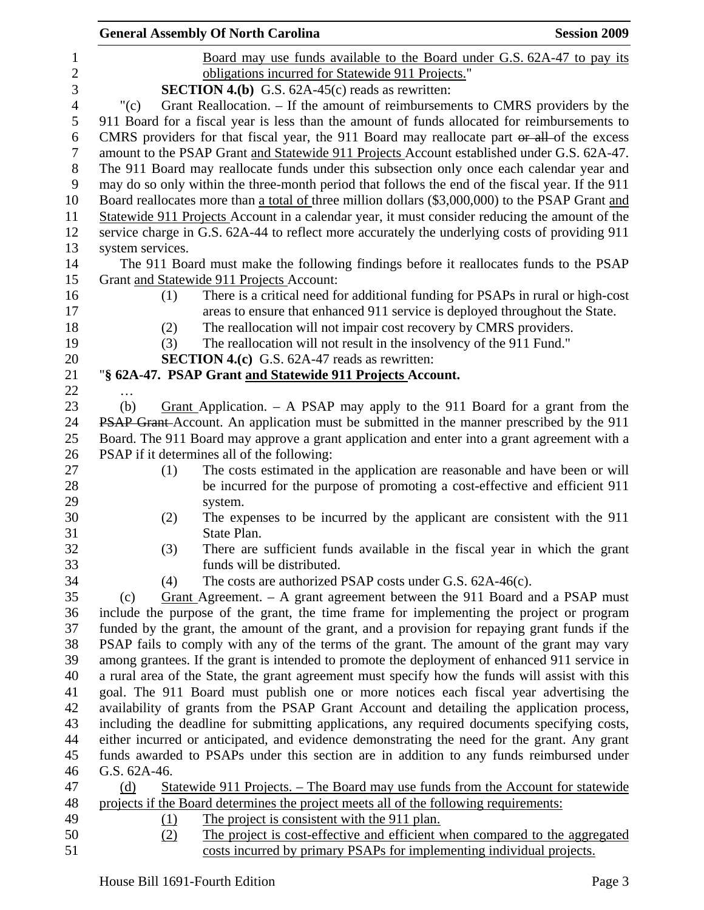|                  |                  | <b>General Assembly Of North Carolina</b>                                                        | <b>Session 2009</b> |
|------------------|------------------|--------------------------------------------------------------------------------------------------|---------------------|
| $\mathbf{1}$     |                  | Board may use funds available to the Board under G.S. 62A-47 to pay its                          |                     |
| $\sqrt{2}$       |                  | obligations incurred for Statewide 911 Projects."                                                |                     |
| 3                |                  | <b>SECTION 4.(b)</b> G.S. $62A-45(c)$ reads as rewritten:                                        |                     |
| $\overline{4}$   | " $(c)$          | Grant Reallocation. – If the amount of reimbursements to CMRS providers by the                   |                     |
| 5                |                  | 911 Board for a fiscal year is less than the amount of funds allocated for reimbursements to     |                     |
| 6                |                  | CMRS providers for that fiscal year, the 911 Board may reallocate part or all of the excess      |                     |
| $\tau$           |                  | amount to the PSAP Grant and Statewide 911 Projects Account established under G.S. 62A-47.       |                     |
| $8\,$            |                  | The 911 Board may reallocate funds under this subsection only once each calendar year and        |                     |
| $\boldsymbol{9}$ |                  | may do so only within the three-month period that follows the end of the fiscal year. If the 911 |                     |
| 10               |                  | Board reallocates more than a total of three million dollars (\$3,000,000) to the PSAP Grant and |                     |
| 11               |                  | Statewide 911 Projects Account in a calendar year, it must consider reducing the amount of the   |                     |
| 12               |                  | service charge in G.S. 62A-44 to reflect more accurately the underlying costs of providing 911   |                     |
| 13               | system services. |                                                                                                  |                     |
| 14               |                  | The 911 Board must make the following findings before it reallocates funds to the PSAP           |                     |
| 15               |                  | Grant and Statewide 911 Projects Account:                                                        |                     |
| 16               | (1)              | There is a critical need for additional funding for PSAPs in rural or high-cost                  |                     |
| 17               |                  | areas to ensure that enhanced 911 service is deployed throughout the State.                      |                     |
| 18               | (2)              | The reallocation will not impair cost recovery by CMRS providers.                                |                     |
| 19               | (3)              | The reallocation will not result in the insolvency of the 911 Fund."                             |                     |
| 20               |                  | <b>SECTION 4.(c)</b> G.S. 62A-47 reads as rewritten:                                             |                     |
| 21               |                  | "§ 62A-47. PSAP Grant and Statewide 911 Projects Account.                                        |                     |
| 22               |                  |                                                                                                  |                     |
| 23               | (b)              | Grant Application. $-$ A PSAP may apply to the 911 Board for a grant from the                    |                     |
| 24               |                  | PSAP Grant-Account. An application must be submitted in the manner prescribed by the 911         |                     |
| 25               |                  | Board. The 911 Board may approve a grant application and enter into a grant agreement with a     |                     |
| 26               |                  | PSAP if it determines all of the following:                                                      |                     |
| 27               | (1)              | The costs estimated in the application are reasonable and have been or will                      |                     |
| 28               |                  | be incurred for the purpose of promoting a cost-effective and efficient 911                      |                     |
| 29               |                  | system.                                                                                          |                     |
| 30               | (2)              | The expenses to be incurred by the applicant are consistent with the 911                         |                     |
| 31               |                  | State Plan.                                                                                      |                     |
| 32               | (3)              | There are sufficient funds available in the fiscal year in which the grant                       |                     |
| 33               |                  | funds will be distributed.                                                                       |                     |
| 34               | (4)              | The costs are authorized PSAP costs under G.S. 62A-46(c).                                        |                     |
| 35               | (c)              | Grant Agreement. $-$ A grant agreement between the 911 Board and a PSAP must                     |                     |
| 36               |                  | include the purpose of the grant, the time frame for implementing the project or program         |                     |
| 37               |                  | funded by the grant, the amount of the grant, and a provision for repaying grant funds if the    |                     |
| 38               |                  | PSAP fails to comply with any of the terms of the grant. The amount of the grant may vary        |                     |
| 39               |                  | among grantees. If the grant is intended to promote the deployment of enhanced 911 service in    |                     |
| 40               |                  | a rural area of the State, the grant agreement must specify how the funds will assist with this  |                     |
| 41               |                  | goal. The 911 Board must publish one or more notices each fiscal year advertising the            |                     |
| 42               |                  | availability of grants from the PSAP Grant Account and detailing the application process,        |                     |
| 43               |                  | including the deadline for submitting applications, any required documents specifying costs,     |                     |
| 44               |                  | either incurred or anticipated, and evidence demonstrating the need for the grant. Any grant     |                     |
| 45               |                  | funds awarded to PSAPs under this section are in addition to any funds reimbursed under          |                     |
| 46               | G.S. 62A-46.     |                                                                                                  |                     |
| 47               | (d)              | Statewide 911 Projects. – The Board may use funds from the Account for statewide                 |                     |
| 48               |                  | projects if the Board determines the project meets all of the following requirements:            |                     |
| 49               | (1)              | The project is consistent with the 911 plan.                                                     |                     |
| 50               | (2)              | The project is cost-effective and efficient when compared to the aggregated                      |                     |
| 51               |                  | costs incurred by primary PSAPs for implementing individual projects.                            |                     |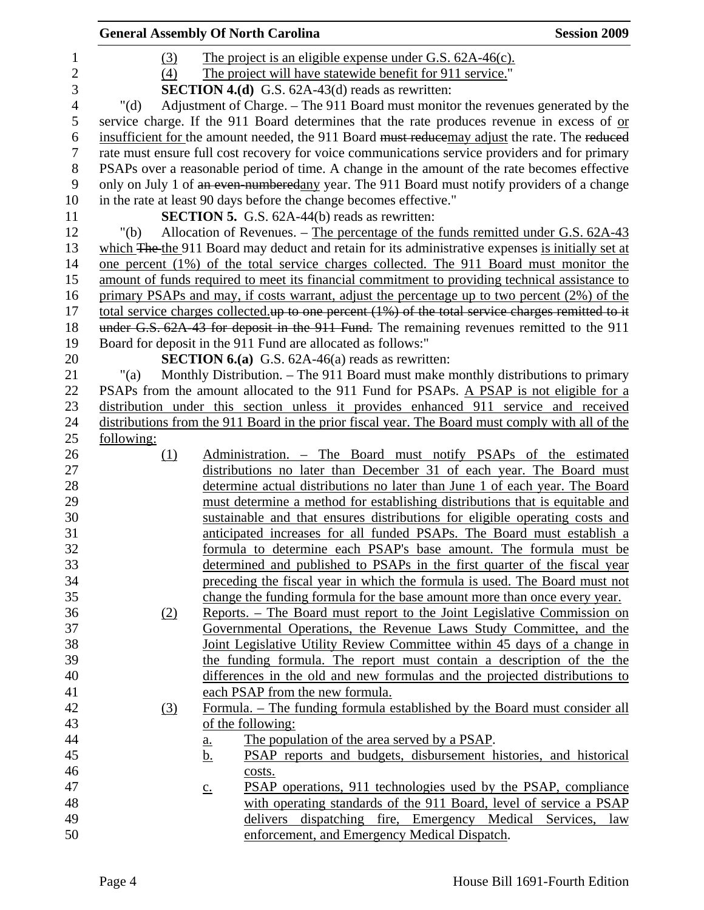|                | <b>General Assembly Of North Carolina</b> |                   |                                                                                                                                                       | <b>Session 2009</b> |
|----------------|-------------------------------------------|-------------------|-------------------------------------------------------------------------------------------------------------------------------------------------------|---------------------|
| $\mathbf{1}$   | (3)                                       |                   | The project is an eligible expense under G.S. 62A-46(c).                                                                                              |                     |
| $\overline{2}$ | (4)                                       |                   | The project will have statewide benefit for 911 service."                                                                                             |                     |
| 3              |                                           |                   | <b>SECTION 4.(d)</b> G.S. $62A-43(d)$ reads as rewritten:                                                                                             |                     |
| $\overline{4}$ | " $(d)$                                   |                   | Adjustment of Charge. – The 911 Board must monitor the revenues generated by the                                                                      |                     |
| 5              |                                           |                   | service charge. If the 911 Board determines that the rate produces revenue in excess of or                                                            |                     |
| 6              |                                           |                   | insufficient for the amount needed, the 911 Board must reducemay adjust the rate. The reduced                                                         |                     |
| $\tau$         |                                           |                   | rate must ensure full cost recovery for voice communications service providers and for primary                                                        |                     |
| $8\phantom{1}$ |                                           |                   | PSAPs over a reasonable period of time. A change in the amount of the rate becomes effective                                                          |                     |
| 9              |                                           |                   | only on July 1 of an even-numberedany year. The 911 Board must notify providers of a change                                                           |                     |
| 10             |                                           |                   | in the rate at least 90 days before the change becomes effective."                                                                                    |                     |
| 11             |                                           |                   | <b>SECTION 5.</b> G.S. 62A-44(b) reads as rewritten:                                                                                                  |                     |
| 12             | " $(b)$                                   |                   | Allocation of Revenues. – The percentage of the funds remitted under G.S. 62A-43                                                                      |                     |
| 13             |                                           |                   | which The the 911 Board may deduct and retain for its administrative expenses is initially set at                                                     |                     |
| 14             |                                           |                   | one percent (1%) of the total service charges collected. The 911 Board must monitor the                                                               |                     |
| 15             |                                           |                   | amount of funds required to meet its financial commitment to providing technical assistance to                                                        |                     |
| 16             |                                           |                   | primary PSAPs and may, if costs warrant, adjust the percentage up to two percent (2%) of the                                                          |                     |
| 17             |                                           |                   | total service charges collected up to one percent (1%) of the total service charges remitted to it                                                    |                     |
| 18             |                                           |                   | under G.S. 62A 43 for deposit in the 911 Fund. The remaining revenues remitted to the 911                                                             |                     |
| 19             |                                           |                   | Board for deposit in the 911 Fund are allocated as follows:"                                                                                          |                     |
| 20             |                                           |                   | <b>SECTION 6.(a)</b> G.S. $62A-46(a)$ reads as rewritten:                                                                                             |                     |
| 21             | "(a)                                      |                   | Monthly Distribution. – The 911 Board must make monthly distributions to primary                                                                      |                     |
| 22             |                                           |                   | PSAPs from the amount allocated to the 911 Fund for PSAPs. A PSAP is not eligible for a                                                               |                     |
| 23             |                                           |                   | distribution under this section unless it provides enhanced 911 service and received                                                                  |                     |
| 24             |                                           |                   | distributions from the 911 Board in the prior fiscal year. The Board must comply with all of the                                                      |                     |
| 25             | following:                                |                   |                                                                                                                                                       |                     |
| 26             | (1)                                       |                   | Administration. - The Board must notify PSAPs of the estimated                                                                                        |                     |
| 27             |                                           |                   | distributions no later than December 31 of each year. The Board must                                                                                  |                     |
| 28             |                                           |                   | determine actual distributions no later than June 1 of each year. The Board                                                                           |                     |
| 29             |                                           |                   | must determine a method for establishing distributions that is equitable and                                                                          |                     |
| 30<br>31       |                                           |                   | sustainable and that ensures distributions for eligible operating costs and<br>anticipated increases for all funded PSAPs. The Board must establish a |                     |
| 32             |                                           |                   | formula to determine each PSAP's base amount. The formula must be                                                                                     |                     |
| 33             |                                           |                   | determined and published to PSAPs in the first quarter of the fiscal year                                                                             |                     |
| 34             |                                           |                   | preceding the fiscal year in which the formula is used. The Board must not                                                                            |                     |
| 35             |                                           |                   | change the funding formula for the base amount more than once every year.                                                                             |                     |
| 36             | (2)                                       |                   | Reports. – The Board must report to the Joint Legislative Commission on                                                                               |                     |
| 37             |                                           |                   | Governmental Operations, the Revenue Laws Study Committee, and the                                                                                    |                     |
| 38             |                                           |                   | Joint Legislative Utility Review Committee within 45 days of a change in                                                                              |                     |
| 39             |                                           |                   | the funding formula. The report must contain a description of the the                                                                                 |                     |
| 40             |                                           |                   | differences in the old and new formulas and the projected distributions to                                                                            |                     |
| 41             |                                           |                   | each PSAP from the new formula.                                                                                                                       |                     |
| 42             | (3)                                       |                   | Formula. – The funding formula established by the Board must consider all                                                                             |                     |
| 43             |                                           |                   | of the following:                                                                                                                                     |                     |
| 44             |                                           | a.                | The population of the area served by a PSAP.                                                                                                          |                     |
| 45             |                                           | <u>b.</u>         | PSAP reports and budgets, disbursement histories, and historical                                                                                      |                     |
| 46             |                                           |                   | costs.                                                                                                                                                |                     |
| 47             |                                           | $\underline{c}$ . | PSAP operations, 911 technologies used by the PSAP, compliance                                                                                        |                     |
| 48             |                                           |                   | with operating standards of the 911 Board, level of service a PSAP                                                                                    |                     |
| 49             |                                           |                   | delivers dispatching fire, Emergency Medical Services, law                                                                                            |                     |
| 50             |                                           |                   | enforcement, and Emergency Medical Dispatch.                                                                                                          |                     |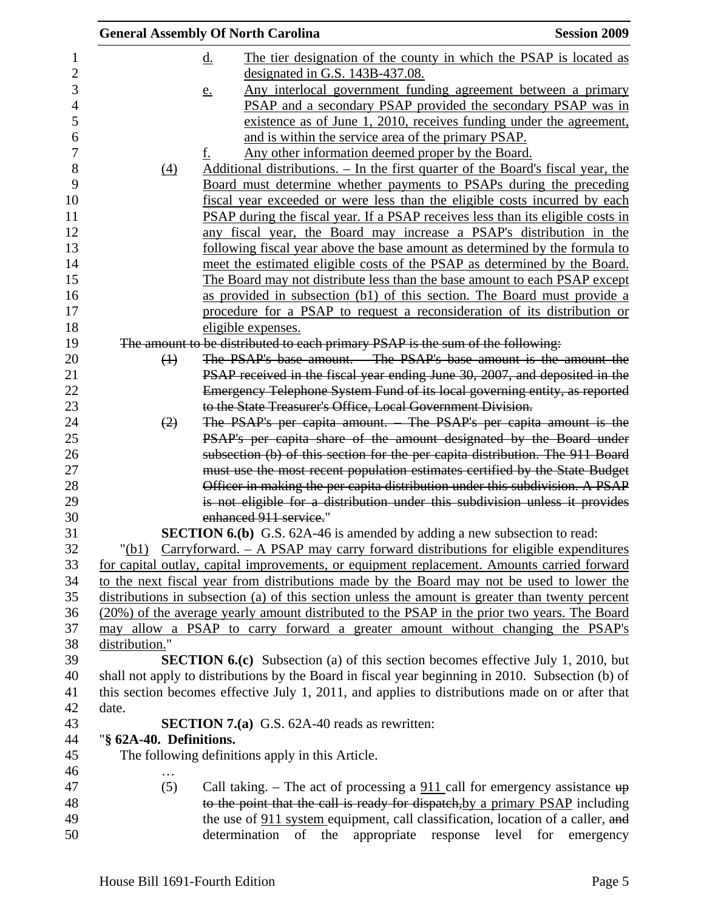|                         | <b>General Assembly Of North Carolina</b>                                                                                                                 | <b>Session 2009</b> |
|-------------------------|-----------------------------------------------------------------------------------------------------------------------------------------------------------|---------------------|
|                         | The tier designation of the county in which the PSAP is located as<br>$\underline{d}$ .                                                                   |                     |
|                         | designated in G.S. 143B-437.08.                                                                                                                           |                     |
|                         | Any interlocal government funding agreement between a primary<br><u>e.</u>                                                                                |                     |
|                         | PSAP and a secondary PSAP provided the secondary PSAP was in                                                                                              |                     |
|                         | existence as of June 1, 2010, receives funding under the agreement,                                                                                       |                     |
|                         | and is within the service area of the primary PSAP.                                                                                                       |                     |
|                         | Any other information deemed proper by the Board.<br>f.                                                                                                   |                     |
| (4)                     | <u>Additional distributions. – In the first quarter of the Board's fiscal year, the</u>                                                                   |                     |
|                         | <u>Board must determine whether payments to PSAPs during the preceding</u>                                                                                |                     |
|                         | fiscal year exceeded or were less than the eligible costs incurred by each                                                                                |                     |
|                         | PSAP during the fiscal year. If a PSAP receives less than its eligible costs in                                                                           |                     |
|                         | any fiscal year, the Board may increase a PSAP's distribution in the                                                                                      |                     |
|                         | following fiscal year above the base amount as determined by the formula to                                                                               |                     |
|                         | meet the estimated eligible costs of the PSAP as determined by the Board.                                                                                 |                     |
|                         | The Board may not distribute less than the base amount to each PSAP except                                                                                |                     |
|                         | as provided in subsection (b1) of this section. The Board must provide a                                                                                  |                     |
|                         | procedure for a PSAP to request a reconsideration of its distribution or                                                                                  |                     |
|                         | eligible expenses.                                                                                                                                        |                     |
|                         | The amount to be distributed to each primary PSAP is the sum of the following:                                                                            |                     |
| $\leftrightarrow$       | The PSAP's base amount. - The PSAP's base amount is the amount the                                                                                        |                     |
|                         | PSAP received in the fiscal year ending June 30, 2007, and deposited in the<br>Emergency Telephone System Fund of its local governing entity, as reported |                     |
|                         | to the State Treasurer's Office, Local Government Division.                                                                                               |                     |
| (2)                     | The PSAP's per capita amount. The PSAP's per capita amount is the                                                                                         |                     |
|                         | PSAP's per capita share of the amount designated by the Board under                                                                                       |                     |
|                         | subsection (b) of this section for the per capita distribution. The 911 Board                                                                             |                     |
|                         | must use the most recent population estimates certified by the State Budget                                                                               |                     |
|                         | Officer in making the per capita distribution under this subdivision. A PSAP                                                                              |                     |
|                         | is not eligible for a distribution under this subdivision unless it provides                                                                              |                     |
|                         | enhanced 911 service."                                                                                                                                    |                     |
|                         | <b>SECTION 6.(b)</b> G.S. 62A-46 is amended by adding a new subsection to read:                                                                           |                     |
|                         | $\sqrt{(b1)}$ Carryforward. – A PSAP may carry forward distributions for eligible expenditures                                                            |                     |
|                         | for capital outlay, capital improvements, or equipment replacement. Amounts carried forward                                                               |                     |
|                         | to the next fiscal year from distributions made by the Board may not be used to lower the                                                                 |                     |
|                         | distributions in subsection (a) of this section unless the amount is greater than twenty percent                                                          |                     |
|                         | (20%) of the average yearly amount distributed to the PSAP in the prior two years. The Board                                                              |                     |
|                         | may allow a PSAP to carry forward a greater amount without changing the PSAP's                                                                            |                     |
| distribution."          |                                                                                                                                                           |                     |
|                         | <b>SECTION 6.(c)</b> Subsection (a) of this section becomes effective July 1, 2010, but                                                                   |                     |
|                         | shall not apply to distributions by the Board in fiscal year beginning in 2010. Subsection (b) of                                                         |                     |
|                         | this section becomes effective July 1, 2011, and applies to distributions made on or after that                                                           |                     |
| date.                   |                                                                                                                                                           |                     |
|                         | <b>SECTION 7.(a)</b> G.S. 62A-40 reads as rewritten:                                                                                                      |                     |
| "§ 62A-40. Definitions. | The following definitions apply in this Article.                                                                                                          |                     |
|                         |                                                                                                                                                           |                     |
| (5)                     | Call taking. – The act of processing a $911$ call for emergency assistance $up$                                                                           |                     |
|                         | to the point that the call is ready for dispatch, by a primary PSAP including                                                                             |                     |
|                         | the use of 911 system equipment, call classification, location of a caller, and                                                                           |                     |
|                         | the<br>determination<br>of<br>appropriate<br>level<br>response                                                                                            | for<br>emergency    |
|                         |                                                                                                                                                           |                     |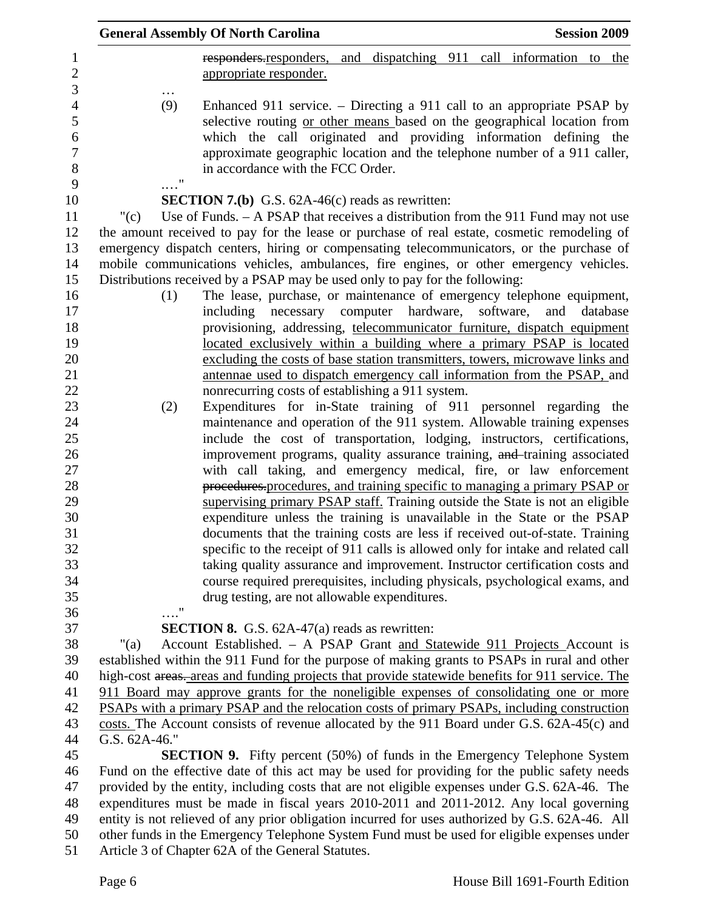|                                                                                |                           | <b>General Assembly Of North Carolina</b>                                                                                                                                                                                                                                                                                                | <b>Session 2009</b> |
|--------------------------------------------------------------------------------|---------------------------|------------------------------------------------------------------------------------------------------------------------------------------------------------------------------------------------------------------------------------------------------------------------------------------------------------------------------------------|---------------------|
| 1<br>$\overline{c}$                                                            |                           | responders responders, and dispatching 911 call information to the<br>appropriate responder.                                                                                                                                                                                                                                             |                     |
| 3<br>$\overline{4}$<br>5<br>$\boldsymbol{6}$<br>$\overline{7}$<br>$\,8\,$<br>9 | (9)<br>$\pmb{\mathsf{H}}$ | Enhanced 911 service. – Directing a 911 call to an appropriate PSAP by<br>selective routing or other means based on the geographical location from<br>which the call originated and providing information defining the<br>approximate geographic location and the telephone number of a 911 caller,<br>in accordance with the FCC Order. |                     |
| 10                                                                             |                           |                                                                                                                                                                                                                                                                                                                                          |                     |
|                                                                                |                           | <b>SECTION 7.(b)</b> G.S. $62A-46(c)$ reads as rewritten:                                                                                                                                                                                                                                                                                |                     |
| 11<br>12                                                                       | "(c)                      | Use of Funds. $-$ A PSAP that receives a distribution from the 911 Fund may not use                                                                                                                                                                                                                                                      |                     |
| 13                                                                             |                           | the amount received to pay for the lease or purchase of real estate, cosmetic remodeling of                                                                                                                                                                                                                                              |                     |
| 14                                                                             |                           | emergency dispatch centers, hiring or compensating telecommunicators, or the purchase of                                                                                                                                                                                                                                                 |                     |
| 15                                                                             |                           | mobile communications vehicles, ambulances, fire engines, or other emergency vehicles.                                                                                                                                                                                                                                                   |                     |
| 16                                                                             |                           | Distributions received by a PSAP may be used only to pay for the following:<br>The lease, purchase, or maintenance of emergency telephone equipment,                                                                                                                                                                                     |                     |
| 17                                                                             | (1)                       | including necessary computer hardware, software,                                                                                                                                                                                                                                                                                         | and<br>database     |
| 18                                                                             |                           | provisioning, addressing, telecommunicator furniture, dispatch equipment                                                                                                                                                                                                                                                                 |                     |
| 19                                                                             |                           | located exclusively within a building where a primary PSAP is located                                                                                                                                                                                                                                                                    |                     |
| 20                                                                             |                           | excluding the costs of base station transmitters, towers, microwave links and                                                                                                                                                                                                                                                            |                     |
| 21                                                                             |                           | antennae used to dispatch emergency call information from the PSAP, and                                                                                                                                                                                                                                                                  |                     |
| 22                                                                             |                           | nonrecurring costs of establishing a 911 system.                                                                                                                                                                                                                                                                                         |                     |
| 23                                                                             | (2)                       | Expenditures for in-State training of 911 personnel regarding the                                                                                                                                                                                                                                                                        |                     |
| 24                                                                             |                           | maintenance and operation of the 911 system. Allowable training expenses                                                                                                                                                                                                                                                                 |                     |
| 25                                                                             |                           | include the cost of transportation, lodging, instructors, certifications,                                                                                                                                                                                                                                                                |                     |
| 26                                                                             |                           | improvement programs, quality assurance training, and training associated                                                                                                                                                                                                                                                                |                     |
| 27                                                                             |                           | with call taking, and emergency medical, fire, or law enforcement                                                                                                                                                                                                                                                                        |                     |
| 28                                                                             |                           | procedures procedures, and training specific to managing a primary PSAP or                                                                                                                                                                                                                                                               |                     |
| 29                                                                             |                           | supervising primary PSAP staff. Training outside the State is not an eligible                                                                                                                                                                                                                                                            |                     |
| 30                                                                             |                           | expenditure unless the training is unavailable in the State or the PSAP                                                                                                                                                                                                                                                                  |                     |
| 31                                                                             |                           | documents that the training costs are less if received out-of-state. Training                                                                                                                                                                                                                                                            |                     |
| 32                                                                             |                           | specific to the receipt of 911 calls is allowed only for intake and related call                                                                                                                                                                                                                                                         |                     |
| 33                                                                             |                           | taking quality assurance and improvement. Instructor certification costs and                                                                                                                                                                                                                                                             |                     |
| 34                                                                             |                           | course required prerequisites, including physicals, psychological exams, and                                                                                                                                                                                                                                                             |                     |
| 35                                                                             |                           | drug testing, are not allowable expenditures.                                                                                                                                                                                                                                                                                            |                     |
| 36                                                                             | $\ldots$ "                |                                                                                                                                                                                                                                                                                                                                          |                     |
| 37                                                                             |                           | <b>SECTION 8.</b> G.S. 62A-47(a) reads as rewritten:                                                                                                                                                                                                                                                                                     |                     |
| 38                                                                             | "(a)                      | Account Established. - A PSAP Grant and Statewide 911 Projects Account is                                                                                                                                                                                                                                                                |                     |
| 39                                                                             |                           | established within the 911 Fund for the purpose of making grants to PSAPs in rural and other                                                                                                                                                                                                                                             |                     |
| 40<br>41                                                                       |                           | high-cost areas. areas and funding projects that provide statewide benefits for 911 service. The<br>911 Board may approve grants for the noneligible expenses of consolidating one or more                                                                                                                                               |                     |
| 42                                                                             |                           | PSAPs with a primary PSAP and the relocation costs of primary PSAPs, including construction                                                                                                                                                                                                                                              |                     |
| 43                                                                             |                           | costs. The Account consists of revenue allocated by the 911 Board under G.S. 62A-45(c) and                                                                                                                                                                                                                                               |                     |
| 44                                                                             | G.S. 62A-46."             |                                                                                                                                                                                                                                                                                                                                          |                     |
| 45                                                                             |                           | <b>SECTION 9.</b> Fifty percent (50%) of funds in the Emergency Telephone System                                                                                                                                                                                                                                                         |                     |
| 46                                                                             |                           | Fund on the effective date of this act may be used for providing for the public safety needs                                                                                                                                                                                                                                             |                     |
| 47                                                                             |                           | provided by the entity, including costs that are not eligible expenses under G.S. 62A-46. The                                                                                                                                                                                                                                            |                     |
| 48                                                                             |                           | expenditures must be made in fiscal years 2010-2011 and 2011-2012. Any local governing                                                                                                                                                                                                                                                   |                     |
| 49                                                                             |                           | entity is not relieved of any prior obligation incurred for uses authorized by G.S. 62A-46. All                                                                                                                                                                                                                                          |                     |
| 50                                                                             |                           | other funds in the Emergency Telephone System Fund must be used for eligible expenses under                                                                                                                                                                                                                                              |                     |
| 51                                                                             |                           | Article 3 of Chapter 62A of the General Statutes.                                                                                                                                                                                                                                                                                        |                     |